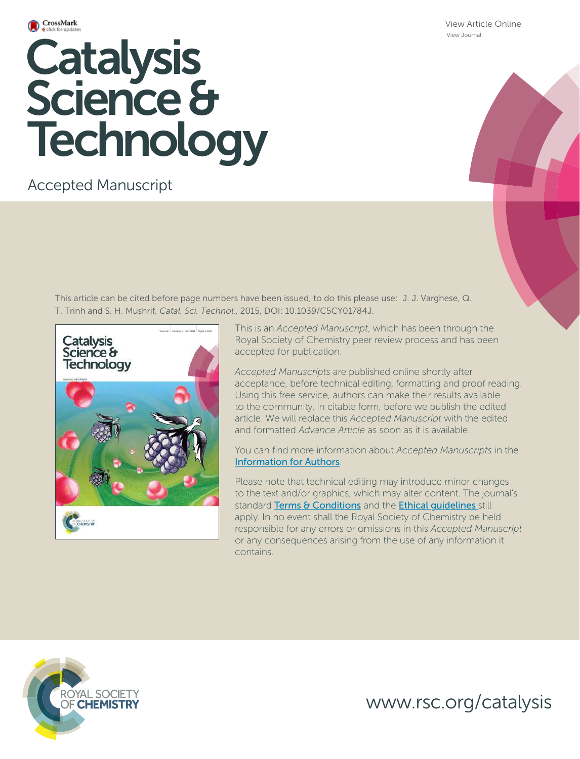

**Catalysis**  Science & **Technology** 

Accepted Manuscript

This article can be cited before page numbers have been issued, to do this please use: J. J. Varghese, Q. T. Trinh and S. H. Mushrif*, Catal. Sci. Technol.*, 2015, DOI: 10.1039/C5CY01784J.



This is an *Accepted Manuscript*, which has been through the Royal Society of Chemistry peer review process and has been accepted for publication.

*Accepted Manuscripts* are published online shortly after acceptance, before technical editing, formatting and proof reading. Using this free service, authors can make their results available to the community, in citable form, before we publish the edited article. We will replace this *Accepted Manuscript* with the edited and formatted *Advance Article* as soon as it is available.

You can find more information about *Accepted Manuscripts* in the Information for Authors.

Please note that technical editing may introduce minor changes to the text and/or graphics, which may alter content. The journal's standard Terms & Conditions and the Ethical quidelines still apply. In no event shall the Royal Society of Chemistry be held responsible for any errors or omissions in this *Accepted Manuscript* or any consequences arising from the use of any information it contains.



www.rsc.org/catalysis

View Article Online View Journal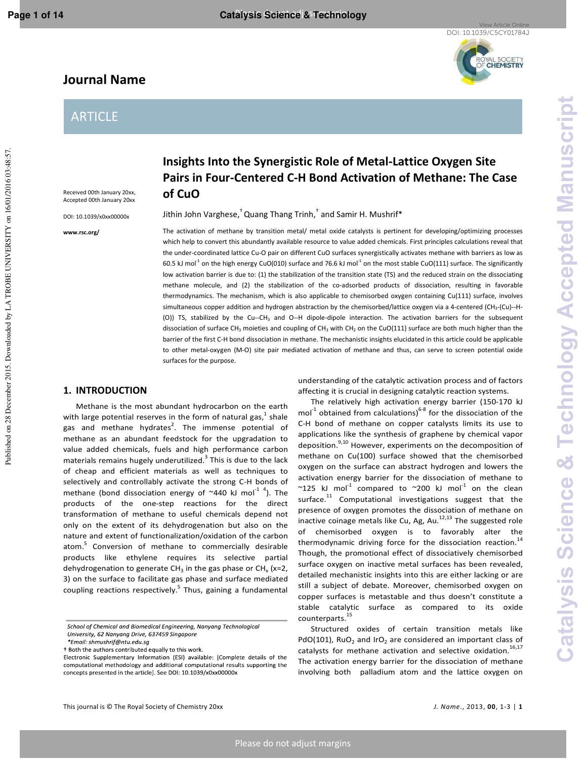Published on 28 December 2015. Downloaded by LA TROBE UNIVERSITY on 16/01/2016 03:48:57

# **Journal Name**

# ARTICLE

Received 00th January 20xx, Accepted 00th January 20xx

DOI: 10.1039/x0xx00000x

**www.rsc.org/** 

**Insights Into the Synergistic Role of Metal-Lattice Oxygen Site Pairs in Four-Centered C-H Bond Activation of Methane: The Case of CuO** 

Jithin John Varghese, $^\dagger$  Quang Thang Trinh, $^\dagger$  and Samir H. Mushrif\*

The activation of methane by transition metal/ metal oxide catalysts is pertinent for developing/optimizing processes which help to convert this abundantly available resource to value added chemicals. First principles calculations reveal that the under-coordinated lattice Cu-O pair on different CuO surfaces synergistically activates methane with barriers as low as 60.5 kJ mol<sup>-1</sup> on the high energy CuO(010) surface and 76.6 kJ mol<sup>-1</sup> on the most stable CuO(111) surface. The significantly low activation barrier is due to: (1) the stabilization of the transition state (TS) and the reduced strain on the dissociating methane molecule, and (2) the stabilization of the co-adsorbed products of dissociation, resulting in favorable thermodynamics. The mechanism, which is also applicable to chemisorbed oxygen containing Cu(111) surface, involves simultaneous copper addition and hydrogen abstraction by the chemisorbed/lattice oxygen via a 4-centered (CH<sub>3</sub>-(Cu)--H-(O)) TS, stabilized by the Cu--CH3 and O--H dipole-dipole interaction. The activation barriers for the subsequent dissociation of surface CH<sub>3</sub> moieties and coupling of CH<sub>3</sub> with CH<sub>2</sub> on the CuO(111) surface are both much higher than the barrier of the first C-H bond dissociation in methane. The mechanistic insights elucidated in this article could be applicable to other metal-oxygen (M-O) site pair mediated activation of methane and thus, can serve to screen potential oxide surfaces for the purpose.

# **1. INTRODUCTION**

Methane is the most abundant hydrocarbon on the earth with large potential reserves in the form of natural gas,<sup>1</sup> shale gas and methane hydrates<sup>2</sup>. The immense potential of methane as an abundant feedstock for the upgradation to value added chemicals, fuels and high performance carbon materials remains hugely underutilized.<sup>3</sup> This is due to the lack of cheap and efficient materials as well as techniques to selectively and controllably activate the strong C-H bonds of methane (bond dissociation energy of  $\sim$ 440 kJ mol<sup>-1 4</sup>). The products of the one-step reactions for the direct transformation of methane to useful chemicals depend not only on the extent of its dehydrogenation but also on the nature and extent of functionalization/oxidation of the carbon atom.<sup>5</sup> Conversion of methane to commercially desirable products like ethylene requires its selective partial dehydrogenation to generate CH<sub>3</sub> in the gas phase or CH<sub>x</sub> (x=2, 3) on the surface to facilitate gas phase and surface mediated coupling reactions respectively.<sup>5</sup> Thus, gaining a fundamental understanding of the catalytic activation process and of factors affecting it is crucial in designing catalytic reaction systems.

The relatively high activation energy barrier (150-170 kJ  $mol<sup>-1</sup>$  obtained from calculations)<sup>6-8</sup> for the dissociation of the C-H bond of methane on copper catalysts limits its use to applications like the synthesis of graphene by chemical vapor deposition.<sup>9,10</sup> However, experiments on the decomposition of methane on Cu(100) surface showed that the chemisorbed oxygen on the surface can abstract hydrogen and lowers the activation energy barrier for the dissociation of methane to ~125 kJ mol<sup>-1</sup> compared to ~200 kJ mol<sup>-1</sup> on the clean surface. $^{11}$  Computational investigations suggest that the presence of oxygen promotes the dissociation of methane on inactive coinage metals like Cu, Ag, Au. $12,13$  The suggested role of chemisorbed oxygen is to favorably alter the thermodynamic driving force for the dissociation reaction.<sup>14</sup> Though, the promotional effect of dissociatively chemisorbed surface oxygen on inactive metal surfaces has been revealed, detailed mechanistic insights into this are either lacking or are still a subject of debate. Moreover, chemisorbed oxygen on copper surfaces is metastable and thus doesn't constitute a stable catalytic surface as compared to its oxide counterparts.<sup>15</sup>

Structured oxides of certain transition metals like PdO(101),  $RuO<sub>2</sub>$  and IrO<sub>2</sub> are considered an important class of catalysts for methane activation and selective oxidation.<sup>16,17</sup> The activation energy barrier for the dissociation of methane involving both palladium atom and the lattice oxygen on

School of Chemical and Biomedical Engineering, Nanyang Technological University, 62 Nanyang Drive, 637459 Singapore

<sup>\*</sup>Email: shmushrif@ntu.edu.sg

<sup>+</sup> Both the authors contributed equally to this work.

Electronic Supplementary Information (ESI) available: [Complete details of the computational methodology and additional computational results supporting the concepts presented in the article]. See DOI: 10.1039/x0xx00000x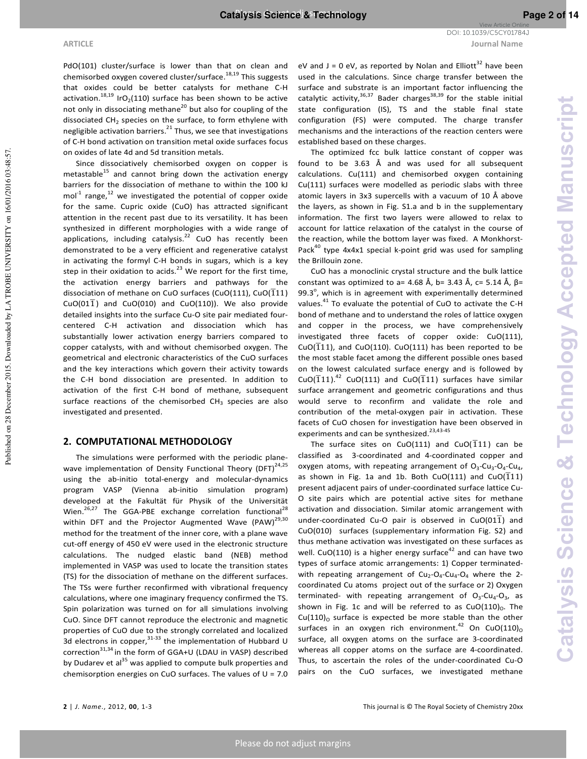## **ARTICLE Journal Name** DOI: 10.1039/C5CY01784J

View Article Online

Published on 28 December 2015. Downloaded by LA TROBE UNIVERSITY on 16/01/2016 03:48:57.

Published on 28 December 2015. Downloaded by LA TROBE UNIVERSITY on 16/01/2016 03:48:57

PdO(101) cluster/surface is lower than that on clean and chemisorbed oxygen covered cluster/surface.<sup>18,19</sup> This suggests that oxides could be better catalysts for methane C-H activation. $^{18,19}$  IrO<sub>2</sub>(110) surface has been shown to be active not only in dissociating methane<sup>20</sup> but also for coupling of the dissociated  $CH<sub>2</sub>$  species on the surface, to form ethylene with negligible activation barriers.<sup>21</sup> Thus, we see that investigations of C-H bond activation on transition metal oxide surfaces focus on oxides of late 4d and 5d transition metals.

Since dissociatively chemisorbed oxygen on copper is metastable $^{15}$  and cannot bring down the activation energy barriers for the dissociation of methane to within the 100 kJ mol<sup>-1</sup> range,<sup>12</sup> we investigated the potential of copper oxide for the same. Cupric oxide (CuO) has attracted significant attention in the recent past due to its versatility. It has been synthesized in different morphologies with a wide range of applications, including catalysis.<sup>22</sup> CuO has recently been demonstrated to be a very efficient and regenerative catalyst in activating the formyl C-H bonds in sugars, which is a key step in their oxidation to acids.<sup>23</sup> We report for the first time, the activation energy barriers and pathways for the dissociation of methane on CuO surfaces (CuO(111), CuO( $\overline{1}11$ ) CuO(01 $\overline{1}$ ) and CuO(010) and CuO(110)). We also provide detailed insights into the surface Cu-O site pair mediated fourcentered C-H activation and dissociation which has substantially lower activation energy barriers compared to copper catalysts, with and without chemisorbed oxygen. The geometrical and electronic characteristics of the CuO surfaces and the key interactions which govern their activity towards the C-H bond dissociation are presented. In addition to activation of the first C-H bond of methane, subsequent surface reactions of the chemisorbed  $CH_3$  species are also investigated and presented.

## **2. COMPUTATIONAL METHODOLOGY**

The simulations were performed with the periodic planewave implementation of Density Functional Theory (DFT)<sup>24,25</sup> using the ab-initio total-energy and molecular-dynamics program VASP (Vienna ab-initio simulation program) developed at the Fakultät für Physik of the Universität Wien.<sup>26,27</sup> The GGA-PBE exchange correlation functional<sup>28</sup> within DFT and the Projector Augmented Wave  $(PAW)^{29,30}$ method for the treatment of the inner core, with a plane wave cut-off energy of 450 eV were used in the electronic structure calculations. The nudged elastic band (NEB) method implemented in VASP was used to locate the transition states (TS) for the dissociation of methane on the different surfaces. The TSs were further reconfirmed with vibrational frequency calculations, where one imaginary frequency confirmed the TS. Spin polarization was turned on for all simulations involving CuO. Since DFT cannot reproduce the electronic and magnetic properties of CuO due to the strongly correlated and localized 3d electrons in copper,  $31-33$  the implementation of Hubbard U correction<sup>31,34</sup> in the form of GGA+U (LDAU in VASP) described by Dudarev et al<sup>35</sup> was applied to compute bulk properties and chemisorption energies on CuO surfaces. The values of  $U = 7.0$ 

eV and  $J = 0$  eV, as reported by Nolan and Elliott<sup>32</sup> have been used in the calculations. Since charge transfer between the surface and substrate is an important factor influencing the catalytic activity,  $36,37$  Bader charges  $38,39$  for the stable initial state configuration (IS), TS and the stable final state configuration (FS) were computed. The charge transfer mechanisms and the interactions of the reaction centers were established based on these charges.

The optimized fcc bulk lattice constant of copper was found to be 3.63 Å and was used for all subsequent calculations. Cu(111) and chemisorbed oxygen containing Cu(111) surfaces were modelled as periodic slabs with three atomic layers in 3x3 supercells with a vacuum of 10 Å above the layers, as shown in Fig. S1.a and b in the supplementary information. The first two layers were allowed to relax to account for lattice relaxation of the catalyst in the course of the reaction, while the bottom layer was fixed. A Monkhorst-Pack<sup>40</sup> type  $4x4x1$  special k-point grid was used for sampling the Brillouin zone.

CuO has a monoclinic crystal structure and the bulk lattice constant was optimized to a= 4.68 Å, b= 3.43 Å, c= 5.14 Å,  $β=$ 99.3 $^{\circ}$ , which is in agreement with experimentally determined values.<sup>41</sup> To evaluate the potential of CuO to activate the C-H bond of methane and to understand the roles of lattice oxygen and copper in the process, we have comprehensively investigated three facets of copper oxide: CuO(111), CuO( $\overline{1}11$ ), and CuO(110). CuO(111) has been reported to be the most stable facet among the different possible ones based on the lowest calculated surface energy and is followed by CuO( $\overline{1}11$ ).<sup>42</sup> CuO(111) and CuO( $\overline{1}11$ ) surfaces have similar surface arrangement and geometric configurations and thus would serve to reconfirm and validate the role and contribution of the metal-oxygen pair in activation. These facets of CuO chosen for investigation have been observed in experiments and can be synthesized.<sup>23,43-45</sup>

The surface sites on CuO(111) and CuO( $\overline{1}$ 11) can be classified as 3-coordinated and 4-coordinated copper and oxygen atoms, with repeating arrangement of  $O_3$ -Cu<sub>3</sub>-O<sub>4</sub>-Cu<sub>4</sub>, as shown in Fig. 1a and 1b. Both CuO(111) and CuO( $\overline{111}$ ) present adjacent pairs of under-coordinated surface lattice Cu-O site pairs which are potential active sites for methane activation and dissociation. Similar atomic arrangement with under-coordinated Cu-O pair is observed in  $CuO(01\overline{1})$  and CuO(010) surfaces (supplementary information Fig. S2) and thus methane activation was investigated on these surfaces as well. CuO(110) is a higher energy surface<sup>42</sup> and can have two types of surface atomic arrangements: 1) Copper terminatedwith repeating arrangement of  $Cu<sub>2</sub>-O<sub>4</sub>-Cu<sub>4</sub>-O<sub>4</sub>$  where the 2coordinated Cu atoms project out of the surface or 2) Oxygen terminated- with repeating arrangement of  $O_3$ -Cu<sub>4</sub>-O<sub>3</sub>, as shown in Fig. 1c and will be referred to as  $CuO(110)_0$ . The  $Cu(110)_O$  surface is expected be more stable than the other surfaces in an oxygen rich environment.<sup>42</sup> On CuO(110)<sub>o</sub> surface, all oxygen atoms on the surface are 3-coordinated whereas all copper atoms on the surface are 4-coordinated. Thus, to ascertain the roles of the under-coordinated Cu-O pairs on the CuO surfaces, we investigated methane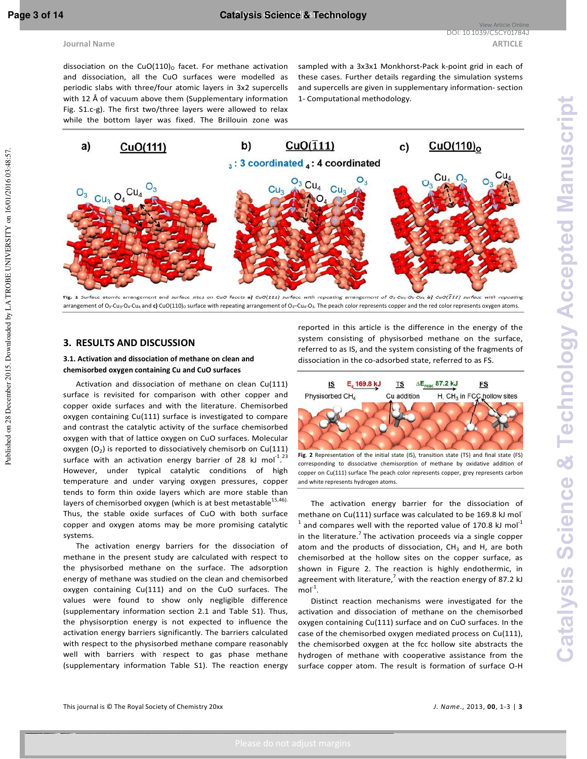dissociation on the CuO(110) $_0$  facet. For methane activation and dissociation, all the CuO surfaces were modelled as periodic slabs with three/four atomic layers in 3x2 supercells with 12 Å of vacuum above them (Supplementary information Fig. S1.c-g). The first two/three layers were allowed to relax while the bottom layer was fixed. The Brillouin zone was

sampled with a 3x3x1 Monkhorst-Pack k-point grid in each of these cases. Further details regarding the simulation systems and supercells are given in supplementary information- section 1- Computational methodology.



**Fig. 1** Surface atomic arrangement and surface sites on CuO facets **a)** CuO(111) surface with repeating arrangement of O3-Cu3-O4-Cu<sup>4</sup> **b)** CuO(111) surface with repeating arrangement of O<sub>3</sub>-Cu<sub>3</sub>-O<sub>4</sub>-Cu<sub>4</sub> and c) CuO(110)<sub>O</sub> surface with repeating arrangement of O<sub>3</sub>-Cu<sub>4</sub>-O<sub>3</sub>. The peach color represents copper and the red color represents oxygen atoms.

## **3. RESULTS AND DISCUSSION**

## **3.1. Activation and dissociation of methane on clean and chemisorbed oxygen containing Cu and CuO surfaces**

Activation and dissociation of methane on clean Cu(111) surface is revisited for comparison with other copper and copper oxide surfaces and with the literature. Chemisorbed oxygen containing Cu(111) surface is investigated to compare and contrast the catalytic activity of the surface chemisorbed oxygen with that of lattice oxygen on CuO surfaces. Molecular oxygen  $(O_2)$  is reported to dissociatively chemisorb on Cu(111) surface with an activation energy barrier of 28 kJ mol<sup>-1</sup>.<sup>23</sup> However, under typical catalytic conditions of high temperature and under varying oxygen pressures, copper tends to form thin oxide layers which are more stable than layers of chemisorbed oxygen (which is at best metastable $15,46$ ). Thus, the stable oxide surfaces of CuO with both surface copper and oxygen atoms may be more promising catalytic systems.

The activation energy barriers for the dissociation of methane in the present study are calculated with respect to the physisorbed methane on the surface. The adsorption energy of methane was studied on the clean and chemisorbed oxygen containing Cu(111) and on the CuO surfaces. The values were found to show only negligible difference (supplementary information section 2.1 and Table S1). Thus, the physisorption energy is not expected to influence the activation energy barriers significantly. The barriers calculated with respect to the physisorbed methane compare reasonably well with barriers with respect to gas phase methane (supplementary information Table S1). The reaction energy

reported in this article is the difference in the energy of the system consisting of physisorbed methane on the surface, referred to as IS, and the system consisting of the fragments of dissociation in the co-adsorbed state, referred to as FS.



**Fig**. **2** Representation of the initial state (IS), transition state (TS) and final state (FS) corresponding to dissociative chemisorption of methane by oxidative addition of copper on Cu(111) surface The peach color represents copper, grey represents carbon and white represents hydrogen atoms.

The activation energy barrier for the dissociation of methane on Cu(111) surface was calculated to be 169.8 kJ mol-1 and compares well with the reported value of 170.8 kJ mol<sup>-1</sup> in the literature.<sup>7</sup> The activation proceeds via a single copper atom and the products of dissociation,  $CH<sub>3</sub>$  and H, are both chemisorbed at the hollow sites on the copper surface, as shown in Figure 2. The reaction is highly endothermic, in agreement with literature,<sup>7</sup> with the reaction energy of 87.2 kJ  $mol<sup>-1</sup>$ .

Distinct reaction mechanisms were investigated for the activation and dissociation of methane on the chemisorbed oxygen containing Cu(111) surface and on CuO surfaces. In the case of the chemisorbed oxygen mediated process on Cu(111), the chemisorbed oxygen at the fcc hollow site abstracts the hydrogen of methane with cooperative assistance from the surface copper atom. The result is formation of surface O-H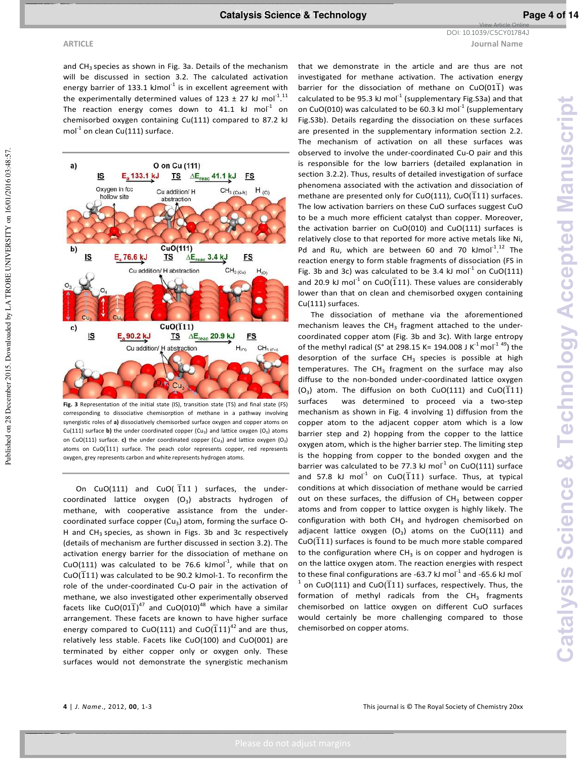**ARTICLE Journal Name** DOI: 10.1039/C5CY01784J

View Article Online

Published on 28 December 2015. Downloaded by LA TROBE UNIVERSITY on 16/01/2016 03:48:57.

Published on 28 December 2015. Downloaded by LA TROBE UNIVERSITY on 16/01/2016 03:48:57

 $b)$ <u>IS</u>  $E_a$ 76.6 $kJ$  $\mathbf{c})$  $\underline{\mathsf{IS}}$ E<sub>a</sub> 90.2 kJ

mol $^{-1}$  on clean Cu(111) surface.

<u>is</u> Oxygen in fcc

hollow site

E<sub>a</sub> 133.1 kJ

a)

On  $CuO(111)$  and  $CuO(\overline{1}11)$  surfaces, the undercoordinated lattice oxygen  $(O_3)$  abstracts hydrogen of methane, with cooperative assistance from the undercoordinated surface copper (Cu<sub>3</sub>) atom, forming the surface O-H and  $CH<sub>3</sub>$  species, as shown in Figs. 3b and 3c respectively (details of mechanism are further discussed in section 3.2). The activation energy barrier for the dissociation of methane on CuO(111) was calculated to be 76.6 kJmol $^{-1}$ , while that on  $CuO(111)$  was calculated to be 90.2 kJmol-1. To reconfirm the role of the under-coordinated Cu-O pair in the activation of methane, we also investigated other experimentally observed facets like CuO(01 $\overline{1}$ )<sup>47</sup> and CuO(010)<sup>48</sup> which have a similar arrangement. These facets are known to have higher surface energy compared to CuO(111) and CuO( $\overline{1}11$ )<sup>42</sup> and are thus, relatively less stable. Facets like CuO(100) and CuO(001) are terminated by either copper only or oxygen only. These surfaces would not demonstrate the synergistic mechanism

that we demonstrate in the article and are thus are not investigated for methane activation. The activation energy barrier for the dissociation of methane on  $CuO(01\overline{1})$  was calculated to be 95.3 kJ mol<sup>-1</sup> (supplementary Fig. S3a) and that on CuO(010) was calculated to be 60.3 kJ mol $^{-1}$  (supplementary Fig.S3b). Details regarding the dissociation on these surfaces are presented in the supplementary information section 2.2. The mechanism of activation on all these surfaces was observed to involve the under-coordinated Cu-O pair and this is responsible for the low barriers (detailed explanation in section 3.2.2). Thus, results of detailed investigation of surface phenomena associated with the activation and dissociation of methane are presented only for CuO(111), CuO( $\overline{1}$ 11) surfaces. The low activation barriers on these CuO surfaces suggest CuO to be a much more efficient catalyst than copper. Moreover, the activation barrier on CuO(010) and CuO(111) surfaces is relatively close to that reported for more active metals like Ni, Pd and Ru, which are between 60 and 70  $kmol<sup>-1,12</sup>$  The reaction energy to form stable fragments of dissociation (FS in Fig. 3b and 3c) was calculated to be 3.4 kJ mol<sup>-1</sup> on CuO(111) and 20.9 kJ mol<sup>-1</sup> on CuO( $\overline{1}11$ ). These values are considerably lower than that on clean and chemisorbed oxygen containing Cu(111) surfaces.

The dissociation of methane via the aforementioned mechanism leaves the CH<sub>3</sub> fragment attached to the undercoordinated copper atom (Fig. 3b and 3c). With large entropy of the methyl radical (S° at 298.15 K= 194.008 J K<sup>-1</sup> mol<sup>-1 49</sup>) the desorption of the surface  $CH_3$  species is possible at high temperatures. The  $CH_3$  fragment on the surface may also diffuse to the non-bonded under-coordinated lattice oxygen  $(O_3)$  atom. The diffusion on both CuO(111) and CuO( $\frac{10}{111}$ ) surfaces was determined to proceed via a two-step mechanism as shown in Fig. 4 involving 1) diffusion from the copper atom to the adjacent copper atom which is a low barrier step and 2) hopping from the copper to the lattice oxygen atom, which is the higher barrier step. The limiting step is the hopping from copper to the bonded oxygen and the barrier was calculated to be 77.3 kJ mol<sup>-1</sup> on CuO(111) surface and 57.8 kJ mol<sup>-1</sup> on CuO( $\overline{1}11$ ) surface. Thus, at typical conditions at which dissociation of methane would be carried out on these surfaces, the diffusion of CH<sub>3</sub> between copper atoms and from copper to lattice oxygen is highly likely. The configuration with both  $CH<sub>3</sub>$  and hydrogen chemisorbed on adjacent lattice oxygen  $(O_3)$  atoms on the CuO(111) and  $CuO(\overline{1}11)$  surfaces is found to be much more stable compared to the configuration where  $CH_3$  is on copper and hydrogen is on the lattice oxygen atom. The reaction energies with respect to these final configurations are -63.7 kJ mol $^{-1}$  and -65.6 kJ mol 1 on CuO(111) and CuO( $\overline{1}$ 11) surfaces, respectively. Thus, the formation of methyl radicals from the  $CH<sub>3</sub>$  fragments chemisorbed on lattice oxygen on different CuO surfaces would certainly be more challenging compared to those chemisorbed on copper atoms.



and  $CH_3$  species as shown in Fig. 3a. Details of the mechanism will be discussed in section 3.2. The calculated activation energy barrier of 133.1 kJmol $^{-1}$  is in excellent agreement with the experimentally determined values of 123  $\pm$  27 kJ mol<sup>-1,11</sup> The reaction energy comes down to 41.1 kJ mol $^{-1}$  on chemisorbed oxygen containing Cu(111) compared to 87.2 kJ

O on Cu (111)

Cu addition/ H

abstraction

CuO(111)

<u>TS</u>

 $TS$   $\Delta E_{\text{reac}}$  41.1 kJ

 $\Delta E_{\text{reac}}$  3.4 kJ

**FS** 

<u>FS</u>

 $H_{(O)}$ 

 $CH<sub>3</sub>(Cu-h)$ 

corresponding to dissociative chemisorption of methane in a pathway involving synergistic roles of **a)** dissociatively chemisorbed surface oxygen and copper atoms on Cu(111) surface **b)** the under coordinated copper (Cu<sub>3</sub>) and lattice oxygen (O<sub>3</sub>) atoms on CuO(111) surface. **c)** the under coordinated copper (Cu<sub>3</sub>) and lattice oxygen (O<sub>3</sub>) atoms on  $CuO(\overline{1}11)$  surface. The peach color represents copper, red represents oxygen, grey represents carbon and white represents hydrogen atoms.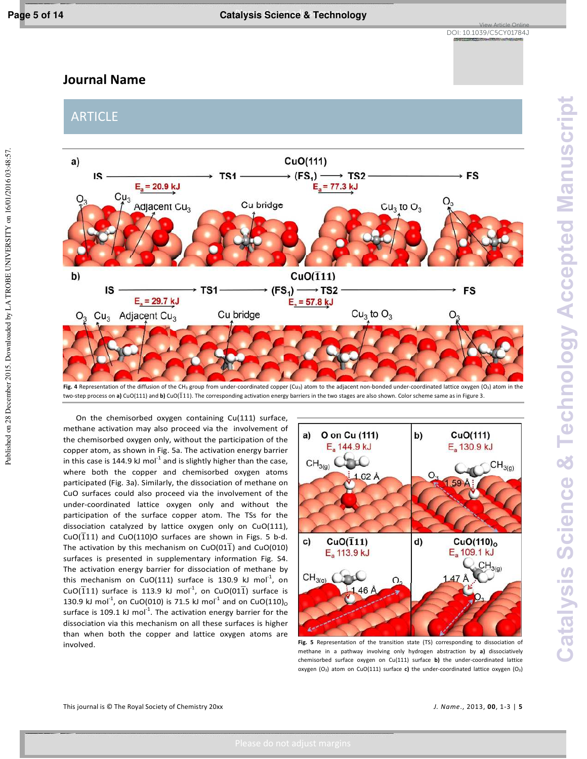Published on 28 December 2015. Downloaded by LA TROBE UNIVERSITY on 16/01/2016 03:48:57.

# **Journal Name**

ARTICLE



Fig. 4 Representation of the diffusion of the CH<sub>3</sub> group from under-coordinated copper (Cu<sub>3</sub>) atom to the adjacent non-bonded under-coordinated lattice oxygen (O<sub>3</sub>) atom in the two-step process on **a)** CuO(111) and **b)** CuO(111). The corresponding activation energy barriers in the two stages are also shown. Color scheme same as in Figure 3.

On the chemisorbed oxygen containing Cu(111) surface, methane activation may also proceed via the involvement of the chemisorbed oxygen only, without the participation of the copper atom, as shown in Fig. 5a. The activation energy barrier in this case is 144.9 kJ mol<sup>-1</sup> and is slightly higher than the case, where both the copper and chemisorbed oxygen atoms participated (Fig. 3a). Similarly, the dissociation of methane on CuO surfaces could also proceed via the involvement of the under-coordinated lattice oxygen only and without the participation of the surface copper atom. The TSs for the dissociation catalyzed by lattice oxygen only on CuO(111), CuO( $\overline{1}11$ ) and CuO(110)O surfaces are shown in Figs. 5 b-d. The activation by this mechanism on CuO(011) and CuO(010) surfaces is presented in supplementary information Fig. S4. The activation energy barrier for dissociation of methane by this mechanism on CuO(111) surface is 130.9 kJ mol<sup>-1</sup>, on CuO( $\overline{1}11$ ) surface is 113.9 kJ mol<sup>-1</sup>, on CuO(01 $\overline{1}$ ) surface is 130.9 kJ mol<sup>-1</sup>, on CuO(010) is 71.5 kJ mol<sup>-1</sup> and on CuO(110)<sub>o</sub> surface is 109.1 kJ mol $^{-1}$ . The activation energy barrier for the dissociation via this mechanism on all these surfaces is higher than when both the copper and lattice oxygen atoms are involved. **Fig. 5** Representation of the transition state (TS) corresponding to dissociation of



methane in a pathway involving only hydrogen abstraction by **a)** dissociatively chemisorbed surface oxygen on Cu(111) surface **b)** the under-coordinated lattice oxygen (O<sub>3</sub>) atom on CuO(111) surface c) the under-coordinated lattice oxygen (O<sub>3</sub>)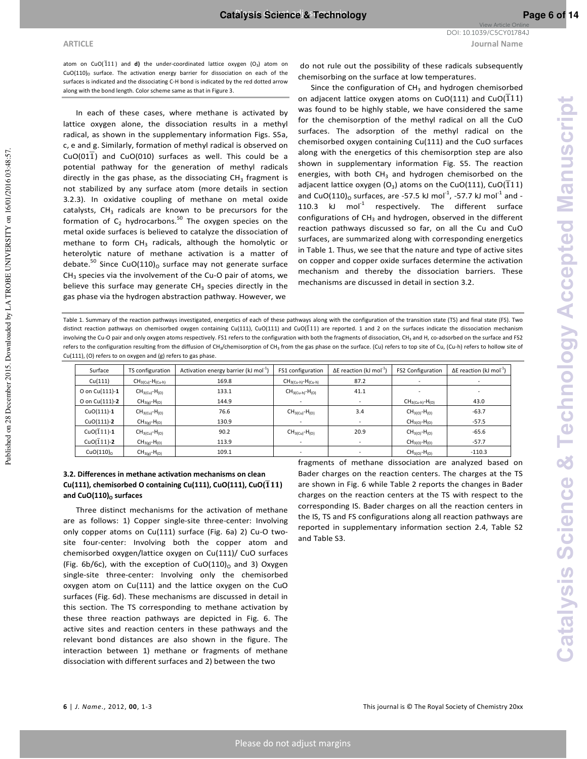Published on 28 December 2015. Downloaded by LA TROBE UNIVERSITY on 16/01/2016 03:48:57

atom on  $CuO(\overline{1}11)$  and **d)** the under-coordinated lattice oxygen  $(O_2)$  atom on  $CuO(110)$ <sub>0</sub> surface. The activation energy barrier for dissociation on each of the surfaces is indicated and the dissociating C-H bond is indicated by the red dotted arrow along with the bond length. Color scheme same as that in Figure 3.

In each of these cases, where methane is activated by lattice oxygen alone, the dissociation results in a methyl radical, as shown in the supplementary information Figs. S5a, c, e and g. Similarly, formation of methyl radical is observed on  $C\cup$   $(01\overline{1})$  and  $C\cup$   $(010)$  surfaces as well. This could be a potential pathway for the generation of methyl radicals directly in the gas phase, as the dissociating  $CH<sub>3</sub>$  fragment is not stabilized by any surface atom (more details in section 3.2.3). In oxidative coupling of methane on metal oxide catalysts,  $CH_3$  radicals are known to be precursors for the formation of  $C_2$  hydrocarbons.<sup>50</sup> The oxygen species on the metal oxide surfaces is believed to catalyze the dissociation of methane to form  $CH<sub>3</sub>$  radicals, although the homolytic or heterolytic nature of methane activation is a matter of debate.<sup>50</sup> Since CuO(110)<sub>0</sub> surface may not generate surface  $CH<sub>3</sub>$  species via the involvement of the Cu-O pair of atoms, we believe this surface may generate  $CH_3$  species directly in the gas phase via the hydrogen abstraction pathway. However, we

View Article Online DOI: 10.1039/C5CY01784J

Since the configuration of  $CH<sub>3</sub>$  and hydrogen chemisorbed on adjacent lattice oxygen atoms on CuO(111) and CuO( $\overline{1}11$ ) was found to be highly stable, we have considered the same for the chemisorption of the methyl radical on all the CuO surfaces. The adsorption of the methyl radical on the chemisorbed oxygen containing Cu(111) and the CuO surfaces along with the energetics of this chemisorption step are also shown in supplementary information Fig. S5. The reaction energies, with both CH<sub>3</sub> and hydrogen chemisorbed on the adjacent lattice oxygen (O<sub>3</sub>) atoms on the CuO(111), CuO(111) and CuO(110)<sub>0</sub> surfaces, are -57.5 kJ mol<sup>-1</sup>, -57.7 kJ mol<sup>-1</sup> and -110.3 kJ  $mol^{-1}$  respectively. The different surface configurations of  $CH_3$  and hydrogen, observed in the different reaction pathways discussed so far, on all the Cu and CuO surfaces, are summarized along with corresponding energetics in Table 1. Thus, we see that the nature and type of active sites on copper and copper oxide surfaces determine the activation mechanism and thereby the dissociation barriers. These mechanisms are discussed in detail in section 3.2.

Table 1. Summary of the reaction pathways investigated, energetics of each of these pathways along with the configuration of the transition state (TS) and final state (FS). Two distinct reaction pathways on chemisorbed oxygen containing Cu(111), CuO(111) and CuO( $\overline{1}11$ ) are reported. 1 and 2 on the surfaces indicate the dissociation mechanism involving the Cu-O pair and only oxygen atoms respectively. FS1 refers to the configuration with both the fragments of dissociation, CH<sub>3</sub> and H, co-adsorbed on the surface and FS2 refers to the configuration resulting from the diffusion of CH<sub>3</sub>/chemisorption of CH<sub>3</sub> from the gas phase on the surface. (Cu) refers to top site of Cu, (Cu-h) refers to hollow site of Cu(111), (O) refers to on oxygen and (g) refers to gas phase.

| Surface               | TS configuration        | Activation energy barrier (kJ mol <sup>-1</sup> ) | FS1 configuration        | $\Delta E$ reaction (kJ mol <sup>-1</sup> ) | FS2 Configuration      | $\Delta E$ reaction (kJ mol <sup>-1</sup> ) |
|-----------------------|-------------------------|---------------------------------------------------|--------------------------|---------------------------------------------|------------------------|---------------------------------------------|
| Cu(111)               | $CH_{3(Cu)}-H_{(Cu-h)}$ | 169.8                                             | $CH3(Cu-h)-H(Cu-h)$      | 87.2                                        |                        |                                             |
| O on Cu(111)-1        | $CH_{3(Cu)}-H_{(O)}$    | 133.1                                             | $CH_{3(Cu-h)}-H_{(O)}$   | 41.1                                        |                        |                                             |
| O on Cu(111)-2        | $CH_{3(g)}-H_{(O)}$     | 144.9                                             | $\overline{\phantom{0}}$ | $\overline{\phantom{a}}$                    | $CH_{3(Cu-h)}-H_{(O)}$ | 43.0                                        |
| $CuO(111) - 1$        | $CH_{3(Cu)}-H_{(O)}$    | 76.6                                              | $CH_{3(Cu)}-H_{(O)}$     | 3.4                                         | $CH_{3(0)}-H_{(0)}$    | $-63.7$                                     |
| $CuO(111) - 2$        | $CH_{3(g)}-H_{(O)}$     | 130.9                                             | $\overline{\phantom{a}}$ | $\overline{\phantom{a}}$                    | $CH_{3(0)}-H_{(0)}$    | $-57.5$                                     |
| CuO( $111$ )-1        | $CH3(Cu)-H(O)$          | 90.2                                              | $CH_{3(Cu)}-H_{(O)}$     | 20.9                                        | $CH_{3(0)}-H_{(0)}$    | $-65.6$                                     |
| CuO( $111$ )-2        | $CH_{3(g)}-H_{(O)}$     | 113.9                                             | $\overline{\phantom{a}}$ | $\overline{\phantom{a}}$                    | $CH_{3(0)}-H_{(0)}$    | $-57.7$                                     |
| CuO(110) <sub>0</sub> | $CH_{3(g)}-H_{(O)}$     | 109.1                                             | $\overline{\phantom{a}}$ | $\overline{\phantom{a}}$                    | $CH_{3(0)}-H_{(0)}$    | $-110.3$                                    |

## **3.2. Differences in methane activation mechanisms on clean**   $Cu(111)$ , chemisorbed O containing  $Cu(111)$ ,  $CuO(111)$ ,  $CuO(\overline{1}11)$ and CuO(110)<sub>0</sub> surfaces

Three distinct mechanisms for the activation of methane are as follows: 1) Copper single-site three-center: Involving only copper atoms on Cu(111) surface (Fig. 6a) 2) Cu-O twosite four-center: Involving both the copper atom and chemisorbed oxygen/lattice oxygen on Cu(111)/ CuO surfaces (Fig. 6b/6c), with the exception of  $CuO(110)_O$  and 3) Oxygen single-site three-center: Involving only the chemisorbed oxygen atom on Cu(111) and the lattice oxygen on the CuO surfaces (Fig. 6d). These mechanisms are discussed in detail in this section. The TS corresponding to methane activation by these three reaction pathways are depicted in Fig. 6. The active sites and reaction centers in these pathways and the relevant bond distances are also shown in the figure. The interaction between 1) methane or fragments of methane dissociation with different surfaces and 2) between the two

fragments of methane dissociation are analyzed based on Bader charges on the reaction centers. The charges at the TS are shown in Fig. 6 while Table 2 reports the changes in Bader charges on the reaction centers at the TS with respect to the corresponding IS. Bader charges on all the reaction centers in the IS, TS and FS configurations along all reaction pathways are reported in supplementary information section 2.4, Table S2 and Table S3.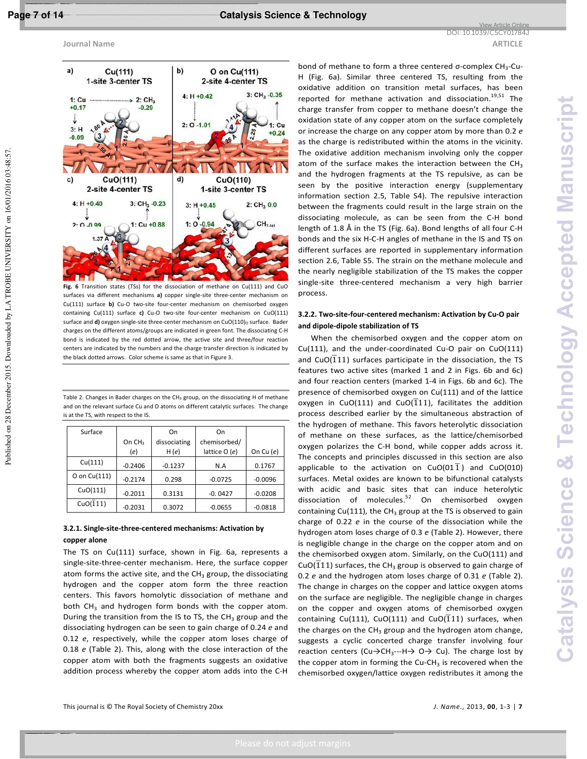Published on 28 December 2015. Downloaded by LA TROBE UNIVERSITY on 16/01/2016 03:48:57

**Journal Name ARTICLE ARTICLE** 



**Fig. 6** Transition states (TSs) for the dissociation of methane on Cu(111) and CuO surfaces via different mechanisms **a)** copper single-site three-center mechanism on Cu(111) surface **b)** Cu-O two-site four-center mechanism on chemisorbed oxygen containing Cu(111) surface **c)** Cu-O two-site four-center mechanism on CuO(111) surface and  $\mathbf{d}$ ) oxygen single-site three-center mechanism on CuO(110)<sub>0</sub> surface. Bader charges on the different atoms/groups are indicated in green font. The dissociating C-H bond is indicated by the red dotted arrow, the active site and three/four reaction centers are indicated by the numbers and the charge transfer direction is indicated by the black dotted arrows. Color scheme is same as that in Figure 3.

Table 2. Changes in Bader charges on the CH<sub>3</sub> group, on the dissociating H of methane and on the relevant surface Cu and O atoms on different catalytic surfaces. The change is at the TS, with respect to the IS.

| Surface      |                    | On           | On             |             |
|--------------|--------------------|--------------|----------------|-------------|
|              | On CH <sub>3</sub> | dissociating | chemisorbed/   |             |
|              | (e)                | H(e)         | lattice $O(e)$ | On Cu $(e)$ |
| Cu(111)      | $-0.2406$          | $-0.1237$    | N.A            | 0.1767      |
| O on Cu(111) | $-0.2174$          | 0.298        | $-0.0725$      | $-0.0096$   |
| CuO(111)     | $-0.2011$          | 0.3131       | $-0.0427$      | $-0.0208$   |
| CuO $(111)$  | $-0.2031$          | 0.3072       | $-0.0655$      | $-0.0818$   |

# **3.2.1. Single-site-three-centered mechanisms: Activation by copper alone**

The TS on Cu(111) surface, shown in Fig. 6a, represents a single-site-three-center mechanism. Here, the surface copper atom forms the active site, and the  $CH_3$  group, the dissociating hydrogen and the copper atom form the three reaction centers. This favors homolytic dissociation of methane and both CH<sub>3</sub> and hydrogen form bonds with the copper atom. During the transition from the IS to TS, the  $CH_3$  group and the dissociating hydrogen can be seen to gain charge of 0.24 *e* and 0.12 *e*, respectively, while the copper atom loses charge of 0.18 *e* (Table 2). This, along with the close interaction of the copper atom with both the fragments suggests an oxidative addition process whereby the copper atom adds into the C-H

bond of methane to form a three centered σ-complex CH<sub>3</sub>-Cu-H (Fig. 6a). Similar three centered TS, resulting from the oxidative addition on transition metal surfaces, has been reported for methane activation and dissociation.<sup>19,51</sup> The charge transfer from copper to methane doesn't change the oxidation state of any copper atom on the surface completely or increase the charge on any copper atom by more than 0.2 *e* as the charge is redistributed within the atoms in the vicinity. The oxidative addition mechanism involving only the copper atom of the surface makes the interaction between the  $CH<sub>3</sub>$ and the hydrogen fragments at the TS repulsive, as can be seen by the positive interaction energy (supplementary information section 2.5, Table S4). The repulsive interaction between the fragments could result in the large strain on the dissociating molecule, as can be seen from the C-H bond length of 1.8 Å in the TS (Fig. 6a). Bond lengths of all four C-H bonds and the six H-C-H angles of methane in the IS and TS on different surfaces are reported in supplementary information section 2.6, Table S5. The strain on the methane molecule and the nearly negligible stabilization of the TS makes the copper single-site three-centered mechanism a very high barrier process.

View Article Online DOI: 10.1039/C5CY01784J

# **3.2.2. Two-site-four-centered mechanism: Activation by Cu-O pair and dipole-dipole stabilization of TS**

When the chemisorbed oxygen and the copper atom on Cu(111), and the under-coordinated Cu-O pair on CuO(111) and CuO( $\overline{111}$ ) surfaces participate in the dissociation, the TS features two active sites (marked 1 and 2 in Figs. 6b and 6c) and four reaction centers (marked 1-4 in Figs. 6b and 6c). The presence of chemisorbed oxygen on Cu(111) and of the lattice  $\overline{\text{0}}$  oxygen in CuO(111) and CuO( $\overline{1}$ 11), facilitates the addition process described earlier by the simultaneous abstraction of the hydrogen of methane. This favors heterolytic dissociation of methane on these surfaces, as the lattice/chemisorbed oxygen polarizes the C-H bond, while copper adds across it. The concepts and principles discussed in this section are also applicable to the activation on CuO(01 $\overline{1}$ ) and CuO(010) surfaces. Metal oxides are known to be bifunctional catalysts with acidic and basic sites that can induce heterolytic dissociation of molecules.<sup>52</sup> On chemisorbed oxygen containing Cu(111), the CH<sub>3</sub> group at the TS is observed to gain charge of 0.22 *e* in the course of the dissociation while the hydrogen atom loses charge of 0.3 *e* (Table 2). However, there is negligible change in the charge on the copper atom and on the chemisorbed oxygen atom. Similarly, on the CuO(111) and CuO( $\overline{111}$ ) surfaces, the CH<sub>3</sub> group is observed to gain charge of 0.2 *e* and the hydrogen atom loses charge of 0.31 *e* (Table 2). The change in charges on the copper and lattice oxygen atoms on the surface are negligible. The negligible change in charges on the copper and oxygen atoms of chemisorbed oxygen containing Cu(111), CuO(111) and CuO( $\overline{1}11$ ) surfaces, when the charges on the CH<sub>3</sub> group and the hydrogen atom change, suggests a cyclic concerted charge transfer involving four reaction centers (Cu $\rightarrow$ CH<sub>3</sub>---H $\rightarrow$  O $\rightarrow$  Cu). The charge lost by the copper atom in forming the Cu-CH<sub>3</sub> is recovered when the chemisorbed oxygen/lattice oxygen redistributes it among the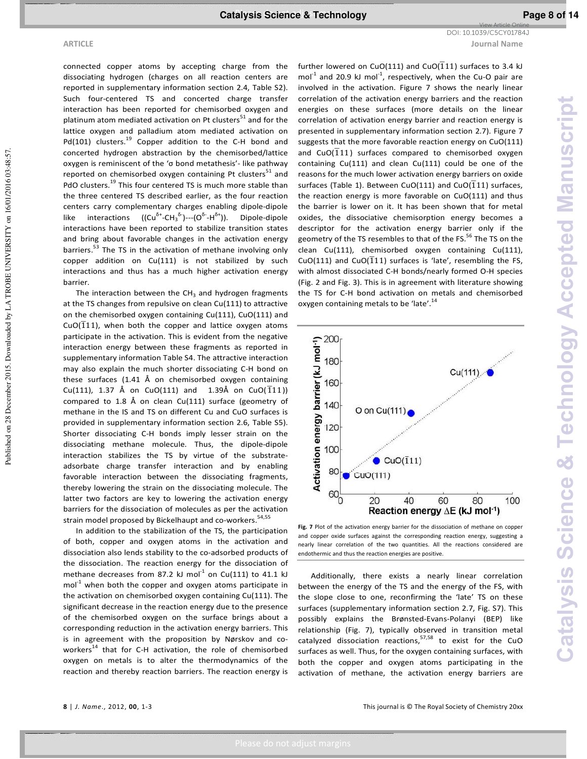**ARTICLE Journal Name** View Article Online DOI: 10.1039/C5CY01784J

Published on 28 December 2015. Downloaded by LA TROBE UNIVERSITY on 16/01/2016 03:48:57.

Published on 28 December 2015. Downloaded by LA TROBE UNIVERSITY on 16/01/2016 03:48:57

connected copper atoms by accepting charge from the dissociating hydrogen (charges on all reaction centers are reported in supplementary information section 2.4, Table S2). Such four-centered TS and concerted charge transfer interaction has been reported for chemisorbed oxygen and platinum atom mediated activation on Pt clusters $51$  and for the lattice oxygen and palladium atom mediated activation on Pd(101) clusters.<sup>19</sup> Copper addition to the C-H bond and concerted hydrogen abstraction by the chemisorbed/lattice oxygen is reminiscent of the 'σ bond metathesis'- like pathway reported on chemisorbed oxygen containing Pt clusters<sup>51</sup> and PdO clusters.<sup>19</sup> This four centered TS is much more stable than the three centered TS described earlier, as the four reaction centers carry complementary charges enabling dipole-dipole like interactions ( $(Cu^{\delta^+} - CH_3^{\delta^-})$ --- $(O^{\delta^-} - H^{\delta^+})$ ). Dipole-dipole interactions have been reported to stabilize transition states and bring about favorable changes in the activation energy barriers.<sup>53</sup> The TS in the activation of methane involving only copper addition on Cu(111) is not stabilized by such interactions and thus has a much higher activation energy barrier.

The interaction between the  $CH_3$  and hydrogen fragments at the TS changes from repulsive on clean Cu(111) to attractive on the chemisorbed oxygen containing Cu(111), CuO(111) and  $CuO(\overline{1}11)$ , when both the copper and lattice oxygen atoms participate in the activation. This is evident from the negative interaction energy between these fragments as reported in supplementary information Table S4. The attractive interaction may also explain the much shorter dissociating C-H bond on these surfaces (1.41 Å on chemisorbed oxygen containing Cu(111), 1.37 Å on CuO(111) and 1.39Å on CuO( $\overline{1}11$ )) compared to 1.8 Å on clean Cu(111) surface (geometry of methane in the IS and TS on different Cu and CuO surfaces is provided in supplementary information section 2.6, Table S5). Shorter dissociating C-H bonds imply lesser strain on the dissociating methane molecule. Thus, the dipole-dipole interaction stabilizes the TS by virtue of the substrateadsorbate charge transfer interaction and by enabling favorable interaction between the dissociating fragments, thereby lowering the strain on the dissociating molecule. The latter two factors are key to lowering the activation energy barriers for the dissociation of molecules as per the activation strain model proposed by Bickelhaupt and co-workers.<sup>54,55</sup>

In addition to the stabilization of the TS, the participation of both, copper and oxygen atoms in the activation and dissociation also lends stability to the co-adsorbed products of the dissociation. The reaction energy for the dissociation of methane decreases from 87.2 kJ mol $^{-1}$  on Cu(111) to 41.1 kJ  $mol<sup>-1</sup>$  when both the copper and oxygen atoms participate in the activation on chemisorbed oxygen containing Cu(111). The significant decrease in the reaction energy due to the presence of the chemisorbed oxygen on the surface brings about a corresponding reduction in the activation energy barriers. This is in agreement with the proposition by Nørskov and coworkers<sup>14</sup> that for C-H activation, the role of chemisorbed oxygen on metals is to alter the thermodynamics of the reaction and thereby reaction barriers. The reaction energy is

further lowered on CuO(111) and CuO( $\overline{1}$ 11) surfaces to 3.4 kJ mol<sup>-1</sup> and 20.9 kJ mol<sup>-1</sup>, respectively, when the Cu-O pair are involved in the activation. Figure 7 shows the nearly linear correlation of the activation energy barriers and the reaction energies on these surfaces (more details on the linear correlation of activation energy barrier and reaction energy is presented in supplementary information section 2.7). Figure 7 suggests that the more favorable reaction energy on CuO(111) and CuO( $\overline{111}$ ) surfaces compared to chemisorbed oxygen containing Cu(111) and clean Cu(111) could be one of the reasons for the much lower activation energy barriers on oxide surfaces (Table 1). Between CuO(111) and CuO( $\overline{1}11$ ) surfaces, the reaction energy is more favorable on CuO(111) and thus the barrier is lower on it. It has been shown that for metal oxides, the dissociative chemisorption energy becomes a descriptor for the activation energy barrier only if the geometry of the TS resembles to that of the FS.<sup>56</sup> The TS on the clean Cu(111), chemisorbed oxygen containing Cu(111), CuO(111) and CuO( $\overline{1}11$ ) surfaces is 'late', resembling the FS, with almost dissociated C-H bonds/nearly formed O-H species (Fig. 2 and Fig. 3). This is in agreement with literature showing the TS for C-H bond activation on metals and chemisorbed oxygen containing metals to be 'late'.<sup>14</sup>



Fig. 7 Plot of the activation energy barrier for the dissociation of methane on copper and copper oxide surfaces against the corresponding reaction energy, suggesting a nearly linear correlation of the two quantities. All the reactions considered are endothermic and thus the reaction energies are positive.

Additionally, there exists a nearly linear correlation between the energy of the TS and the energy of the FS, with the slope close to one, reconfirming the 'late' TS on these surfaces (supplementary information section 2.7, Fig. S7). This possibly explains the Brønsted-Evans-Polanyi (BEP) like relationship (Fig. 7), typically observed in transition metal catalyzed dissociation reactions,<sup>57,58</sup> to exist for the CuO surfaces as well. Thus, for the oxygen containing surfaces, with both the copper and oxygen atoms participating in the activation of methane, the activation energy barriers are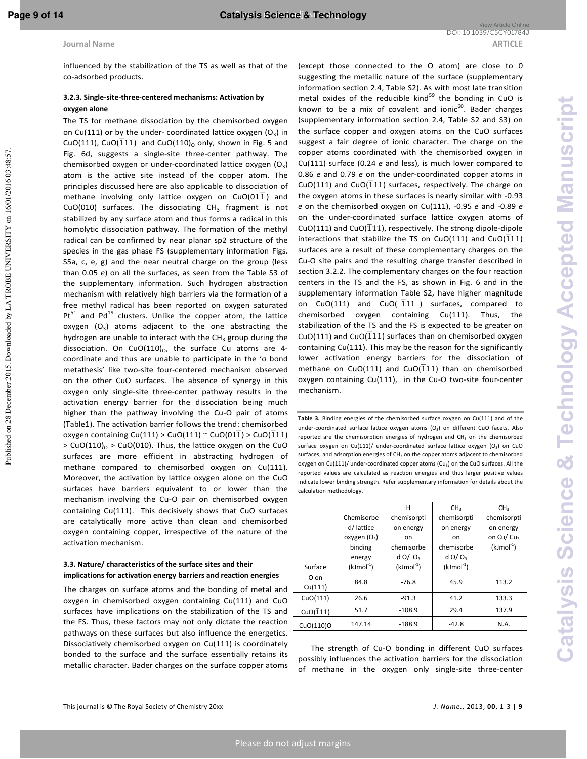Published on 28 December 2015. Downloaded by LA TROBE UNIVERSITY on 16/01/2016 03:48:57

influenced by the stabilization of the TS as well as that of the co-adsorbed products.

### **3.2.3. Single-site-three-centered mechanisms: Activation by oxygen alone**

The TS for methane dissociation by the chemisorbed oxygen on Cu(111) or by the under- coordinated lattice oxygen  $(O_3)$  in CuO(111), CuO( $\overline{1}$ 11) and CuO(110)<sub>0</sub> only, shown in Fig. 5 and Fig. 6d, suggests a single-site three-center pathway. The chemisorbed oxygen or under-coordinated lattice oxygen  $(O_3)$ atom is the active site instead of the copper atom. The principles discussed here are also applicable to dissociation of  $\frac{1}{2}$  methane involving only lattice oxygen on CuO(01 $\overline{1}$ ) and CuO(010) surfaces. The dissociating  $CH_3$  fragment is not stabilized by any surface atom and thus forms a radical in this homolytic dissociation pathway. The formation of the methyl radical can be confirmed by near planar sp2 structure of the species in the gas phase FS (supplementary information Figs. S5a, c, e, g) and the near neutral charge on the group (less than 0.05 *e*) on all the surfaces, as seen from the Table S3 of the supplementary information. Such hydrogen abstraction mechanism with relatively high barriers via the formation of a free methyl radical has been reported on oxygen saturated  $Pt^{51}$  and Pd<sup>19</sup> clusters. Unlike the copper atom, the lattice oxygen  $(O_3)$  atoms adjacent to the one abstracting the hydrogen are unable to interact with the  $CH_3$  group during the dissociation. On CuO $(110)_0$ , the surface Cu atoms are 4coordinate and thus are unable to participate in the 'σ bond metathesis' like two-site four-centered mechanism observed on the other CuO surfaces. The absence of synergy in this oxygen only single-site three-center pathway results in the activation energy barrier for the dissociation being much higher than the pathway involving the Cu-O pair of atoms (Table1). The activation barrier follows the trend: chemisorbed  $\overline{\text{Oxygen}}$  containing Cu(111) > CuO(111) ~ CuO(01 $\overline{1}$ ) > CuO( $\overline{1}$ 11)  $> CuO(110)_O > CuO(010)$ . Thus, the lattice oxygen on the CuO surfaces are more efficient in abstracting hydrogen of methane compared to chemisorbed oxygen on Cu(111). Moreover, the activation by lattice oxygen alone on the CuO surfaces have barriers equivalent to or lower than the mechanism involving the Cu-O pair on chemisorbed oxygen containing Cu(111). This decisively shows that CuO surfaces are catalytically more active than clean and chemisorbed oxygen containing copper, irrespective of the nature of the activation mechanism.

## **3.3. Nature/ characteristics of the surface sites and their implications for activation energy barriers and reaction energies**

The charges on surface atoms and the bonding of metal and oxygen in chemisorbed oxygen containing Cu(111) and CuO surfaces have implications on the stabilization of the TS and the FS. Thus, these factors may not only dictate the reaction pathways on these surfaces but also influence the energetics. Dissociatively chemisorbed oxygen on Cu(111) is coordinately bonded to the surface and the surface essentially retains its metallic character. Bader charges on the surface copper atoms (except those connected to the O atom) are close to 0 suggesting the metallic nature of the surface (supplementary information section 2.4, Table S2). As with most late transition metal oxides of the reducible kind $^{59}$  the bonding in CuO is known to be a mix of covalent and ionic $60$ . Bader charges (supplementary information section 2.4, Table S2 and S3) on the surface copper and oxygen atoms on the CuO surfaces suggest a fair degree of ionic character. The charge on the copper atoms coordinated with the chemisorbed oxygen in Cu(111) surface (0.24 *e* and less), is much lower compared to 0.86 *e* and 0.79 *e* on the under-coordinated copper atoms in  $CuO(111)$  and  $CuO(\overline{1}11)$  surfaces, respectively. The charge on the oxygen atoms in these surfaces is nearly similar with -0.93 *e* on the chemisorbed oxygen on Cu(111), -0.95 *e* and -0.89 *e* on the under-coordinated surface lattice oxygen atoms of  $CuO(111)$  and  $CuO(\overline{1}11)$ , respectively. The strong dipole-dipole interactions that stabilize the TS on CuO(111) and CuO( $\overline{1}11$ ) surfaces are a result of these complementary charges on the Cu-O site pairs and the resulting charge transfer described in section 3.2.2. The complementary charges on the four reaction centers in the TS and the FS, as shown in Fig. 6 and in the supplementary information Table S2, have higher magnitude on  $CuO(111)$  and  $CuO($   $\overline{1}11$  ) surfaces, compared to chemisorbed oxygen containing Cu(111). Thus, the stabilization of the TS and the FS is expected to be greater on  $CuO(111)$  and  $CuO(\overline{1}11)$  surfaces than on chemisorbed oxygen containing Cu(111). This may be the reason for the significantly lower activation energy barriers for the dissociation of methane on CuO(111) and CuO( $\overline{1}$ 11) than on chemisorbed oxygen containing Cu(111), in the Cu-O two-site four-center mechanism.

**Table 3.** Binding energies of the chemisorbed surface oxygen on Cu(111) and of the under-coordinated surface lattice oxygen atoms  $(O_3)$  on different CuO facets. Also reported are the chemisorption energies of hydrogen and  $CH<sub>3</sub>$  on the chemisorbed surface oxygen on Cu(111)/ under-coordinated surface lattice oxygen ( $O<sub>2</sub>$ ) on CuO surfaces, and adsorption energies of  $CH<sub>3</sub>$  on the copper atoms adjacent to chemisorbed oxygen on Cu(111)/ under-coordinated copper atoms (Cu3) on the CuO surfaces. All the reported values are calculated as reaction energies and thus larger positive values indicate lower binding strength. Refer supplementary information for details about the calculation methodology.

|                         |                   | н            | CH <sub>3</sub>      | CH <sub>3</sub>        |  |
|-------------------------|-------------------|--------------|----------------------|------------------------|--|
|                         | Chemisorbe        | chemisorpti  | chemisorpti          | chemisorpti            |  |
|                         | d/ lattice        | on energy    | on energy            | on energy              |  |
|                         | $o$ xygen $(O_3)$ | on           | <sub>on</sub>        | on Cu/ Cu <sub>3</sub> |  |
|                         | binding           | chemisorbe   | chemisorbe           | $(kJmol-1)$            |  |
|                         | energy            | $d$ O/ $Q_3$ | $d$ O/O <sub>3</sub> |                        |  |
| Surface                 | $(kJmol-1)$       | $(kJmol-1)$  | $(kJmol-1)$          |                        |  |
| O on                    | 84.8              | $-76.8$      | 45.9                 | 113.2                  |  |
| Cu(111)                 |                   |              |                      |                        |  |
| CuO(111)                | 26.6              | $-91.3$      | 41.2                 | 133.3                  |  |
| CuO( $\overline{1}11$ ) | 51.7              | $-108.9$     | 29.4                 | 137.9                  |  |
| CuO(110)O               | 147.14            | $-188.9$     | $-42.8$              | N.A.                   |  |

The strength of Cu-O bonding in different CuO surfaces possibly influences the activation barriers for the dissociation of methane in the oxygen only single-site three-center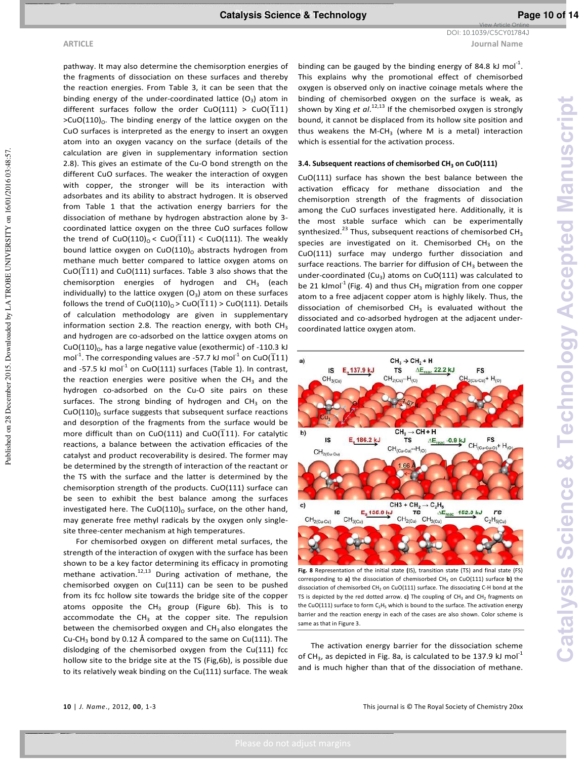Published on 28 December 2015. Downloaded by LA TROBE UNIVERSITY on 16/01/2016 03:48:57

**ARTICLE Journal Name** DOI: 10.1039/C5CY01784J

View Article Online

pathway. It may also determine the chemisorption energies of the fragments of dissociation on these surfaces and thereby the reaction energies. From Table 3, it can be seen that the binding energy of the under-coordinated lattice  $(O_3)$  atom in different surfaces follow the order CuO(111) > CuO( $\overline{1}11$ )  $>CuO(110)$ <sup>o</sup>. The binding energy of the lattice oxygen on the CuO surfaces is interpreted as the energy to insert an oxygen atom into an oxygen vacancy on the surface (details of the calculation are given in supplementary information section 2.8). This gives an estimate of the Cu-O bond strength on the different CuO surfaces. The weaker the interaction of oxygen with copper, the stronger will be its interaction with adsorbates and its ability to abstract hydrogen. It is observed from Table 1 that the activation energy barriers for the dissociation of methane by hydrogen abstraction alone by 3 coordinated lattice oxygen on the three CuO surfaces follow the trend of CuO(110)<sub>o</sub> < CuO( $\overline{1}11$ ) < CuO(111). The weakly bound lattice oxygen on  $CuO(110)$ <sup>o</sup> abstracts hydrogen from methane much better compared to lattice oxygen atoms on  $CuO(\overline{1}11)$  and  $CuO(111)$  surfaces. Table 3 also shows that the chemisorption energies of hydrogen and  $CH<sub>3</sub>$  (each individually) to the lattice oxygen  $(O_3)$  atom on these surfaces follows the trend of CuO(110)<sub>0</sub> > CuO( $\overline{1}$ 11) > CuO(111). Details of calculation methodology are given in supplementary information section 2.8. The reaction energy, with both  $CH<sub>3</sub>$ and hydrogen are co-adsorbed on the lattice oxygen atoms on CuO(110) $_0$ , has a large negative value (exothermic) of -110.3 kJ mol<sup>-1</sup>. The corresponding values are -57.7 kJ mol<sup>-1</sup> on CuO( $\overline{1}11$ ) and -57.5 kJ mol $^{-1}$  on CuO(111) surfaces (Table 1). In contrast, the reaction energies were positive when the  $CH<sub>3</sub>$  and the hydrogen co-adsorbed on the Cu-O site pairs on these surfaces. The strong binding of hydrogen and  $CH<sub>3</sub>$  on the  $CuO(110)$ <sub>o</sub> surface suggests that subsequent surface reactions and desorption of the fragments from the surface would be more difficult than on  $CuO(111)$  and  $CuO(\overline{1}11)$ . For catalytic reactions, a balance between the activation efficacies of the catalyst and product recoverability is desired. The former may be determined by the strength of interaction of the reactant or the TS with the surface and the latter is determined by the chemisorption strength of the products. CuO(111) surface can be seen to exhibit the best balance among the surfaces investigated here. The CuO(110) $_0$  surface, on the other hand, may generate free methyl radicals by the oxygen only singlesite three-center mechanism at high temperatures. For chemisorbed oxygen on different metal surfaces, the

strength of the interaction of oxygen with the surface has been shown to be a key factor determining its efficacy in promoting methane activation.<sup>12,13</sup> During activation of methane, the chemisorbed oxygen on Cu(111) can be seen to be pushed from its fcc hollow site towards the bridge site of the copper atoms opposite the  $CH_3$  group (Figure 6b). This is to accommodate the  $CH_3$  at the copper site. The repulsion between the chemisorbed oxygen and  $CH<sub>3</sub>$  also elongates the Cu-CH<sub>3</sub> bond by 0.12 Å compared to the same on Cu(111). The dislodging of the chemisorbed oxygen from the Cu(111) fcc hollow site to the bridge site at the TS (Fig,6b), is possible due to its relatively weak binding on the Cu(111) surface. The weak

binding can be gauged by the binding energy of 84.8 kJ mol<sup>-1</sup>. This explains why the promotional effect of chemisorbed oxygen is observed only on inactive coinage metals where the binding of chemisorbed oxygen on the surface is weak, as shown by Xing *et al*. 12,13 If the chemisorbed oxygen is strongly bound, it cannot be displaced from its hollow site position and thus weakens the M-CH<sub>3</sub> (where M is a metal) interaction which is essential for the activation process.

### **3.4. Subsequent reactions of chemisorbed CH<sup>3</sup> on CuO(111)**

CuO(111) surface has shown the best balance between the activation efficacy for methane dissociation and the chemisorption strength of the fragments of dissociation among the CuO surfaces investigated here. Additionally, it is the most stable surface which can be experimentally synthesized.<sup>23</sup> Thus, subsequent reactions of chemisorbed  $CH_3$ species are investigated on it. Chemisorbed  $CH<sub>3</sub>$  on the CuO(111) surface may undergo further dissociation and surface reactions. The barrier for diffusion of  $CH<sub>3</sub>$  between the under-coordinated (Cu<sub>3</sub>) atoms on CuO(111) was calculated to be 21 kJmol<sup>-1</sup> (Fig. 4) and thus CH<sub>3</sub> migration from one copper atom to a free adjacent copper atom is highly likely. Thus, the dissociation of chemisorbed  $CH<sub>3</sub>$  is evaluated without the dissociated and co-adsorbed hydrogen at the adjacent undercoordinated lattice oxygen atom.



**Fig. 8** Representation of the initial state **(**IS), transition state (TS) and final state (FS) corresponding to a) the dissociation of chemisorbed CH<sub>3</sub> on CuO(111) surface **b)** the dissociation of chemisorbed CH<sub>2</sub> on CuO(111) surface. The dissociating C-H bond at the TS is depicted by the red dotted arrow.  $c$ ) The coupling of  $CH<sub>3</sub>$  and  $CH<sub>2</sub>$  fragments on the CuO(111) surface to form C<sub>2</sub>H<sub>5</sub> which is bound to the surface. The activation energy barrier and the reaction energy in each of the cases are also shown. Color scheme is same as that in Figure 3.

The activation energy barrier for the dissociation scheme of CH<sub>3</sub>, as depicted in Fig. 8a, is calculated to be 137.9 kJ mol<sup>-1</sup> and is much higher than that of the dissociation of methane.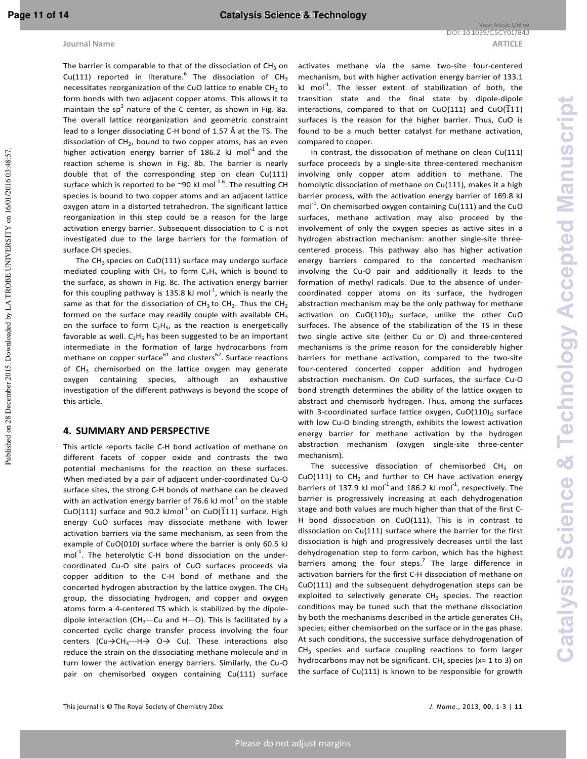The barrier is comparable to that of the dissociation of  $CH_3$  on Cu(111) reported in literature. The dissociation of  $CH_3$ necessitates reorganization of the CuO lattice to enable  $CH<sub>2</sub>$  to form bonds with two adjacent copper atoms. This allows it to maintain the sp<sup>3</sup> nature of the C center, as shown in Fig. 8a. The overall lattice reorganization and geometric constraint lead to a longer dissociating C-H bond of 1.57 Å at the TS. The dissociation of  $CH<sub>2</sub>$ , bound to two copper atoms, has an even higher activation energy barrier of 186.2 kJ mol $1$  and the reaction scheme is shown in Fig. 8b. The barrier is nearly double that of the corresponding step on clean Cu(111) surface which is reported to be  $\degree 90$  kJ mol<sup>-16</sup>. The resulting CH species is bound to two copper atoms and an adjacent lattice oxygen atom in a distorted tetrahedron. The significant lattice reorganization in this step could be a reason for the large activation energy barrier. Subsequent dissociation to C is not investigated due to the large barriers for the formation of surface CH species.

The  $CH<sub>3</sub>$  species on CuO(111) surface may undergo surface mediated coupling with  $CH_2$  to form  $C_2H_5$  which is bound to the surface, as shown in Fig. 8c. The activation energy barrier for this coupling pathway is 135.8 kJ mol<sup>-1</sup>, which is nearly the same as that for the dissociation of  $CH_3$  to  $CH_2$ . Thus the  $CH_2$ formed on the surface may readily couple with available  $CH<sub>3</sub>$ on the surface to form  $C_2H_5$ , as the reaction is energetically favorable as well.  $C_2H_5$  has been suggested to be an important intermediate in the formation of large hydrocarbons from methane on copper surface $61$  and clusters $62$ . Surface reactions of CH<sub>3</sub> chemisorbed on the lattice oxygen may generate oxygen containing species, although an exhaustive investigation of the different pathways is beyond the scope of this article.

# **4. SUMMARY AND PERSPECTIVE**

This article reports facile C-H bond activation of methane on different facets of copper oxide and contrasts the two potential mechanisms for the reaction on these surfaces. When mediated by a pair of adjacent under-coordinated Cu-O surface sites, the strong C-H bonds of methane can be cleaved with an activation energy barrier of 76.6 kJ mol $^{-1}$  on the stable CuO(111) surface and 90.2 kJmol<sup>-1</sup> on CuO( $\overline{1}$ 11) surface. High energy CuO surfaces may dissociate methane with lower activation barriers via the same mechanism, as seen from the example of CuO(010) surface where the barrier is only 60.5 kJ  $mol<sup>-1</sup>$ . The heterolytic C-H bond dissociation on the undercoordinated Cu-O site pairs of CuO surfaces proceeds via copper addition to the C-H bond of methane and the concerted hydrogen abstraction by the lattice oxygen. The  $CH<sub>3</sub>$ group, the dissociating hydrogen, and copper and oxygen atoms form a 4-centered TS which is stabilized by the dipoledipole interaction (CH<sub>3</sub>—Cu and H—O). This is facilitated by a concerted cyclic charge transfer process involving the four centers (Cu $\rightarrow$ CH<sub>3</sub>---H $\rightarrow$  O $\rightarrow$  Cu). These interactions also reduce the strain on the dissociating methane molecule and in turn lower the activation energy barriers. Similarly, the Cu-O pair on chemisorbed oxygen containing Cu(111) surface

activates methane via the same two-site four-centered mechanism, but with higher activation energy barrier of 133.1 kJ mol<sup>-1</sup>. The lesser extent of stabilization of both, the transition state and the final state by dipole-dipole interactions, compared to that on CuO(111) and CuO( $\overline{1}11$ ) surfaces is the reason for the higher barrier. Thus, CuO is found to be a much better catalyst for methane activation, compared to copper.

In contrast, the dissociation of methane on clean Cu(111) surface proceeds by a single-site three-centered mechanism involving only copper atom addition to methane. The homolytic dissociation of methane on Cu(111), makes it a high barrier process, with the activation energy barrier of 169.8 kJ  $mol<sup>-1</sup>$ . On chemisorbed oxygen containing Cu(111) and the CuO surfaces, methane activation may also proceed by the involvement of only the oxygen species as active sites in a hydrogen abstraction mechanism: another single-site threecentered process. This pathway also has higher activation energy barriers compared to the concerted mechanism involving the Cu-O pair and additionally it leads to the formation of methyl radicals. Due to the absence of undercoordinated copper atoms on its surface, the hydrogen abstraction mechanism may be the only pathway for methane activation on CuO(110) $_0$  surface, unlike the other CuO surfaces. The absence of the stabilization of the TS in these two single active site (either Cu or O) and three-centered mechanisms is the prime reason for the considerably higher barriers for methane activation, compared to the two-site four-centered concerted copper addition and hydrogen abstraction mechanism. On CuO surfaces, the surface Cu-O bond strength determines the ability of the lattice oxygen to abstract and chemisorb hydrogen. Thus, among the surfaces with 3-coordinated surface lattice oxygen,  $CuO(110)<sub>o</sub>$  surface with low Cu-O binding strength, exhibits the lowest activation energy barrier for methane activation by the hydrogen abstraction mechanism (oxygen single-site three-center mechanism).

The successive dissociation of chemisorbed  $CH_3$  on  $CuO(111)$  to  $CH<sub>2</sub>$  and further to CH have activation energy barriers of 137.9 kJ mol<sup>-1</sup> and 186.2 kJ mol<sup>-1</sup>, respectively. The barrier is progressively increasing at each dehydrogenation stage and both values are much higher than that of the first C-H bond dissociation on CuO(111). This is in contrast to dissociation on Cu(111) surface where the barrier for the first dissociation is high and progressively decreases until the last dehydrogenation step to form carbon, which has the highest barriers among the four steps.<sup>7</sup> The large difference in activation barriers for the first C-H dissociation of methane on CuO(111) and the subsequent dehydrogenation steps can be exploited to selectively generate  $CH<sub>3</sub>$  species. The reaction conditions may be tuned such that the methane dissociation by both the mechanisms described in the article generates  $CH<sub>3</sub>$ species; either chemisorbed on the surface or in the gas phase. At such conditions, the successive surface dehydrogenation of  $CH<sub>3</sub>$  species and surface coupling reactions to form larger hydrocarbons may not be significant.  $CH_x$  species (x= 1 to 3) on the surface of Cu(111) is known to be responsible for growth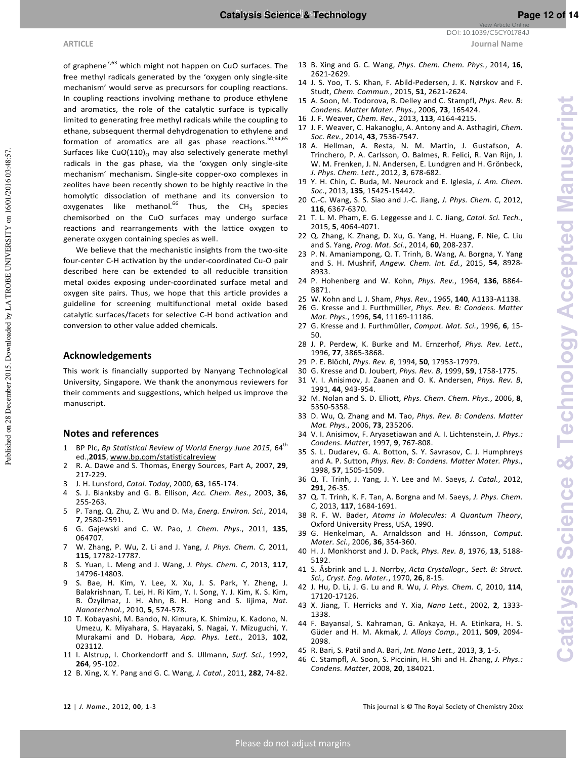**Catalysis Science & Technology Accepted Manuscript**

**Catalysis Science & Technology Accepted Manuscript** 

**ARTICLE Journal Name** DOI: 10.1039/C5CY01784J

of graphene<sup>7,63</sup> which might not happen on CuO surfaces. The free methyl radicals generated by the 'oxygen only single-site mechanism' would serve as precursors for coupling reactions. In coupling reactions involving methane to produce ethylene and aromatics, the role of the catalytic surface is typically limited to generating free methyl radicals while the coupling to ethane, subsequent thermal dehydrogenation to ethylene and formation of aromatics are all gas phase reactions. $50,64,65$ Surfaces like CuO $(110)$ <sub>0</sub> may also selectively generate methyl radicals in the gas phase, via the 'oxygen only single-site mechanism' mechanism. Single-site copper-oxo complexes in zeolites have been recently shown to be highly reactive in the homolytic dissociation of methane and its conversion to oxygenates like methanol.<sup>66</sup> Thus, the CH<sub>3</sub> species chemisorbed on the CuO surfaces may undergo surface reactions and rearrangements with the lattice oxygen to generate oxygen containing species as well.

We believe that the mechanistic insights from the two-site four-center C-H activation by the under-coordinated Cu-O pair described here can be extended to all reducible transition metal oxides exposing under-coordinated surface metal and oxygen site pairs. Thus, we hope that this article provides a guideline for screening multifunctional metal oxide based catalytic surfaces/facets for selective C-H bond activation and conversion to other value added chemicals.

### **Acknowledgements**

This work is financially supported by Nanyang Technological University, Singapore. We thank the anonymous reviewers for their comments and suggestions, which helped us improve the manuscript.

### **Notes and references**

- 1 BP Plc, *Bp Statistical Review of World Energy June 2015*, 64<sup>th</sup> ed.,**2015**, www.bp.com/statisticalreview
- 2 R. A. Dawe and S. Thomas, Energy Sources, Part A, 2007, **29**, 217-229.
- 3 J. H. Lunsford, *Catal. Today*, 2000, **63**, 165-174.
- 4 S. J. Blanksby and G. B. Ellison, *Acc. Chem. Res.*, 2003, **36**, 255-263.
- 5 P. Tang, Q. Zhu, Z. Wu and D. Ma, *Energ. Environ. Sci.*, 2014, **7**, 2580-2591.
- 6 G. Gajewski and C. W. Pao, *J. Chem. Phys.*, 2011, **135**, 064707.
- 7 W. Zhang, P. Wu, Z. Li and J. Yang, *J. Phys. Chem. C*, 2011, **115**, 17782-17787.
- 8 S. Yuan, L. Meng and J. Wang, *J. Phys. Chem. C*, 2013, **117**, 14796-14803.
- 9 S. Bae, H. Kim, Y. Lee, X. Xu, J. S. Park, Y. Zheng, J. Balakrishnan, T. Lei, H. Ri Kim, Y. I. Song, Y. J. Kim, K. S. Kim, B. Özyilmaz, J. H. Ahn, B. H. Hong and S. Iijima, *Nat. Nanotechnol.*, 2010, **5**, 574-578.
- 10 T. Kobayashi, M. Bando, N. Kimura, K. Shimizu, K. Kadono, N. Umezu, K. Miyahara, S. Hayazaki, S. Nagai, Y. Mizuguchi, Y. Murakami and D. Hobara, *App. Phys. Lett.*, 2013, **102**, 023112.
- 11 I. Alstrup, I. Chorkendorff and S. Ullmann, *Surf. Sci.*, 1992, **264**, 95-102.
- 12 B. Xing, X. Y. Pang and G. C. Wang, *J. Catal.*, 2011, **282**, 74-82.
- 13 B. Xing and G. C. Wang, *Phys. Chem. Chem. Phys.*, 2014, **16**, 2621-2629.
- 14 J. S. Yoo, T. S. Khan, F. Abild-Pedersen, J. K. Nørskov and F. Studt, *Chem. Commun.*, 2015, **51**, 2621-2624.
- 15 A. Soon, M. Todorova, B. Delley and C. Stampfl, *Phys. Rev. B: Condens. Matter Mater. Phys.*, 2006, **73**, 165424.
- 16 J. F. Weaver, *Chem. Rev.*, 2013, **113**, 4164-4215.
- 17 J. F. Weaver, C. Hakanoglu, A. Antony and A. Asthagiri, *Chem. Soc. Rev.*, 2014, **43**, 7536-7547.
- 18 A. Hellman, A. Resta, N. M. Martin, J. Gustafson, A. Trinchero, P. A. Carlsson, O. Balmes, R. Felici, R. Van Rijn, J. W. M. Frenken, J. N. Andersen, E. Lundgren and H. Grönbeck, *J. Phys. Chem. Lett.*, 2012, **3**, 678-682.
- 19 Y. H. Chin, C. Buda, M. Neurock and E. Iglesia, *J. Am. Chem. Soc.*, 2013, **135**, 15425-15442.
- 20 C.-C. Wang, S. S. Siao and J.-C. Jiang, *J. Phys. Chem. C*, 2012, **116**, 6367-6370.
- 21 T. L. M. Pham, E. G. Leggesse and J. C. Jiang, *Catal. Sci. Tech.*, 2015, **5**, 4064-4071.
- 22 Q. Zhang, K. Zhang, D. Xu, G. Yang, H. Huang, F. Nie, C. Liu and S. Yang, *Prog. Mat. Sci.*, 2014, **60**, 208-237.
- 23 P. N. Amaniampong, Q. T. Trinh, B. Wang, A. Borgna, Y. Yang and S. H. Mushrif, *Angew. Chem. Int. Ed.*, 2015, **54**, 8928- 8933.
- 24 P. Hohenberg and W. Kohn, *Phys. Rev.*, 1964, **136**, B864- B871.
- 25 W. Kohn and L. J. Sham, *Phys. Rev.*, 1965, **140**, A1133-A1138.
- 26 G. Kresse and J. Furthmüller, *Phys. Rev. B: Condens. Matter Mat. Phys.*, 1996, **54**, 11169-11186.
- 27 G. Kresse and J. Furthmüller, *Comput. Mat. Sci.*, 1996, **6**, 15- 50.
- 28 J. P. Perdew, K. Burke and M. Ernzerhof, *Phys. Rev. Lett.*, 1996, **77**, 3865-3868.
- 29 P. E. Blöchl, *Phys. Rev. B*, 1994, **50**, 17953-17979.
- 30 G. Kresse and D. Joubert, *Phys. Rev. B*, 1999, **59**, 1758-1775.
- 31 V. I. Anisimov, J. Zaanen and O. K. Andersen, *Phys. Rev. B*, 1991, **44**, 943-954.
- 32 M. Nolan and S. D. Elliott, *Phys. Chem. Chem. Phys.*, 2006, **8**, 5350-5358.
- 33 D. Wu, Q. Zhang and M. Tao, *Phys. Rev. B: Condens. Matter Mat. Phys.*, 2006, **73**, 235206.
- 34 V. I. Anisimov, F. Aryasetiawan and A. I. Lichtenstein, *J. Phys.: Condens. Matter*, 1997, **9**, 767-808.
- 35 S. L. Dudarev, G. A. Botton, S. Y. Savrasov, C. J. Humphreys and A. P. Sutton, *Phys. Rev. B: Condens. Matter Mater. Phys.*, 1998, **57**, 1505-1509.
- 36 Q. T. Trinh, J. Yang, J. Y. Lee and M. Saeys, *J. Catal.*, 2012, **291**, 26-35.
- 37 Q. T. Trinh, K. F. Tan, A. Borgna and M. Saeys, *J. Phys. Chem. C*, 2013, **117**, 1684-1691.
- 38 R. F. W. Bader, *Atoms in Molecules: A Quantum Theory*, Oxford University Press, USA, 1990.
- 39 G. Henkelman, A. Arnaldsson and H. Jónsson, *Comput. Mater. Sci.*, 2006, **36**, 354-360.
- 40 H. J. Monkhorst and J. D. Pack, *Phys. Rev. B*, 1976, **13**, 5188- 5192.
- 41 S. Åsbrink and L. J. Norrby, *Acta Crystallogr., Sect. B: Struct. Sci., Cryst. Eng. Mater.*, 1970, **26**, 8-15.
- 42 J. Hu, D. Li, J. G. Lu and R. Wu, *J. Phys. Chem. C*, 2010, **114**, 17120-17126.
- 43 X. Jiang, T. Herricks and Y. Xia, *Nano Lett.*, 2002, **2**, 1333- 1338.
- 44 F. Bayansal, S. Kahraman, G. Ankaya, H. A. Etinkara, H. S. Güder and H. M. Akmak, *J. Alloys Comp.*, 2011, **509**, 2094- 2098.
- 45 R. Bari, S. Patil and A. Bari, *Int. Nano Lett.,* 2013, **3**, 1-5.
- 46 C. Stampfl, A. Soon, S. Piccinin, H. Shi and H. Zhang, *J. Phys.: Condens. Matter*, 2008, **20**, 184021.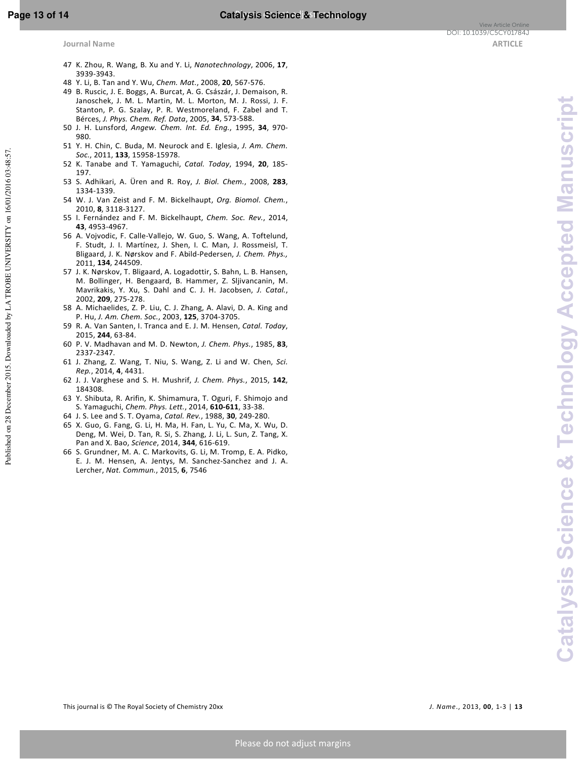- 47 K. Zhou, R. Wang, B. Xu and Y. Li, *Nanotechnology*, 2006, **17**, 3939-3943.
- 48 Y. Li, B. Tan and Y. Wu, *Chem. Mat.*, 2008, **20**, 567-576.
- 49 B. Ruscic, J. E. Boggs, A. Burcat, A. G. Császár, J. Demaison, R. Janoschek, J. M. L. Martin, M. L. Morton, M. J. Rossi, J. F. Stanton, P. G. Szalay, P. R. Westmoreland, F. Zabel and T. Bérces, *J. Phys. Chem. Ref. Data*, 2005, **34**, 573-588.
- 50 J. H. Lunsford, *Angew. Chem. Int. Ed. Eng.*, 1995, **34**, 970- 980.
- 51 Y. H. Chin, C. Buda, M. Neurock and E. Iglesia, *J. Am. Chem. Soc.*, 2011, **133**, 15958-15978.
- 52 K. Tanabe and T. Yamaguchi, *Catal. Today*, 1994, **20**, 185- 197.
- 53 S. Adhikari, A. Üren and R. Roy, *J. Biol. Chem.*, 2008, **283**, 1334-1339.
- 54 W. J. Van Zeist and F. M. Bickelhaupt, *Org. Biomol. Chem.*, 2010, **8**, 3118-3127.
- 55 I. Fernández and F. M. Bickelhaupt, *Chem. Soc. Rev.*, 2014, **43**, 4953-4967.
- 56 A. Vojvodic, F. Calle-Vallejo, W. Guo, S. Wang, A. Toftelund, F. Studt, J. I. Martínez, J. Shen, I. C. Man, J. Rossmeisl, T. Bligaard, J. K. Nørskov and F. Abild-Pedersen, *J. Chem. Phys.,* 2011, **134**, 244509.
- 57 J. K. Nørskov, T. Bligaard, A. Logadottir, S. Bahn, L. B. Hansen, M. Bollinger, H. Bengaard, B. Hammer, Z. Sljivancanin, M. Mavrikakis, Y. Xu, S. Dahl and C. J. H. Jacobsen, *J. Catal.*, 2002, **209**, 275-278.
- 58 A. Michaelides, Z. P. Liu, C. J. Zhang, A. Alavi, D. A. King and P. Hu, *J. Am. Chem. Soc.*, 2003, **125**, 3704-3705.
- 59 R. A. Van Santen, I. Tranca and E. J. M. Hensen, *Catal. Today*, 2015, **244**, 63-84.
- 60 P. V. Madhavan and M. D. Newton, *J. Chem. Phys.*, 1985, **83**, 2337-2347.
- 61 J. Zhang, Z. Wang, T. Niu, S. Wang, Z. Li and W. Chen, *Sci. Rep.*, 2014, **4**, 4431.
- 62 J. J. Varghese and S. H. Mushrif, *J. Chem. Phys.*, 2015, **142**, 184308.
- 63 Y. Shibuta, R. Arifin, K. Shimamura, T. Oguri, F. Shimojo and S. Yamaguchi, *Chem. Phys. Lett.*, 2014, **610-611**, 33-38.
- 64 J. S. Lee and S. T. Oyama, *Catal. Rev.*, 1988, **30**, 249-280.
- 65 X. Guo, G. Fang, G. Li, H. Ma, H. Fan, L. Yu, C. Ma, X. Wu, D. Deng, M. Wei, D. Tan, R. Si, S. Zhang, J. Li, L. Sun, Z. Tang, X. Pan and X. Bao, *Science*, 2014, **344**, 616-619.
- 66 S. Grundner, M. A. C. Markovits, G. Li, M. Tromp, E. A. Pidko, E. J. M. Hensen, A. Jentys, M. Sanchez-Sanchez and J. A. Lercher, *Nat. Commun.*, 2015, **6**, 7546